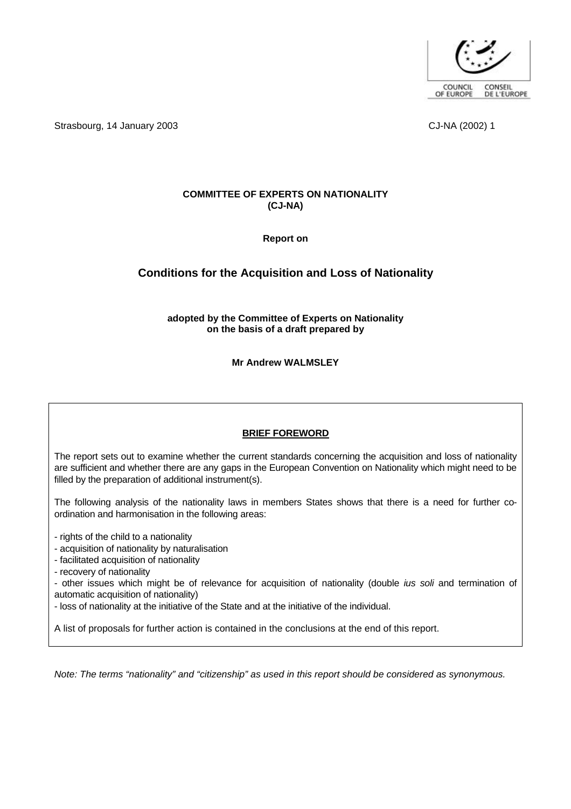

Strasbourg, 14 January 2003 **CJ-NA (2002)** 1

# **COMMITTEE OF EXPERTS ON NATIONALITY (CJ-NA)**

**Report on** 

# **Conditions for the Acquisition and Loss of Nationality**

**adopted by the Committee of Experts on Nationality on the basis of a draft prepared by**

**Mr Andrew WALMSLEY**

# **BRIEF FOREWORD**

The report sets out to examine whether the current standards concerning the acquisition and loss of nationality are sufficient and whether there are any gaps in the European Convention on Nationality which might need to be filled by the preparation of additional instrument(s).

The following analysis of the nationality laws in members States shows that there is a need for further coordination and harmonisation in the following areas:

- rights of the child to a nationality

- acquisition of nationality by naturalisation

- facilitated acquisition of nationality

- recovery of nationality

- other issues which might be of relevance for acquisition of nationality (double *ius soli* and termination of automatic acquisition of nationality)

- loss of nationality at the initiative of the State and at the initiative of the individual.

A list of proposals for further action is contained in the conclusions at the end of this report.

*Note: The terms "nationality" and "citizenship" as used in this report should be considered as synonymous.*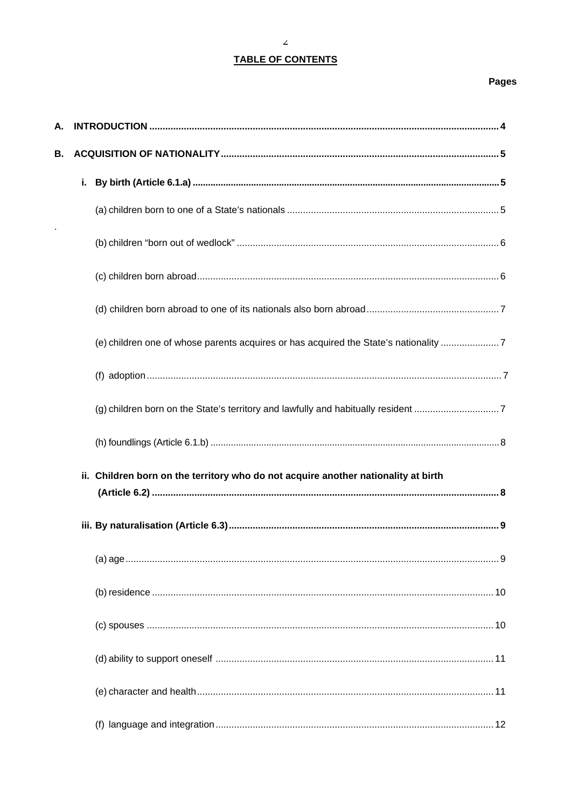# **TABLE OF CONTENTS**

# **Pages**

| А. |                                                                                      |
|----|--------------------------------------------------------------------------------------|
| В. |                                                                                      |
|    | i.                                                                                   |
|    |                                                                                      |
|    |                                                                                      |
|    |                                                                                      |
|    |                                                                                      |
|    | (e) children one of whose parents acquires or has acquired the State's nationality 7 |
|    |                                                                                      |
|    | (g) children born on the State's territory and lawfully and habitually resident 7    |
|    |                                                                                      |
|    | ii. Children born on the territory who do not acquire another nationality at birth   |
|    |                                                                                      |
|    |                                                                                      |
|    |                                                                                      |
|    |                                                                                      |
|    |                                                                                      |
|    |                                                                                      |
|    |                                                                                      |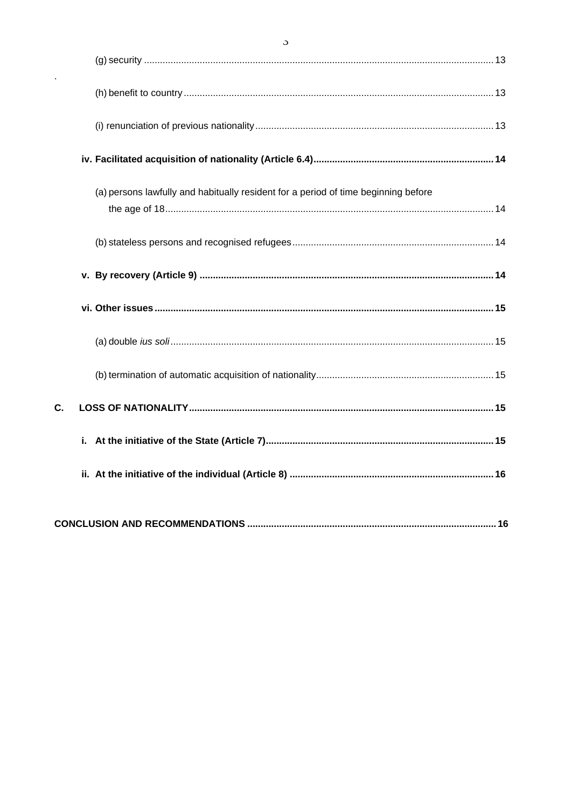|    | (a) persons lawfully and habitually resident for a period of time beginning before |  |
|----|------------------------------------------------------------------------------------|--|
|    |                                                                                    |  |
|    |                                                                                    |  |
|    |                                                                                    |  |
|    |                                                                                    |  |
|    |                                                                                    |  |
| C. |                                                                                    |  |
|    |                                                                                    |  |
|    |                                                                                    |  |
|    |                                                                                    |  |
|    |                                                                                    |  |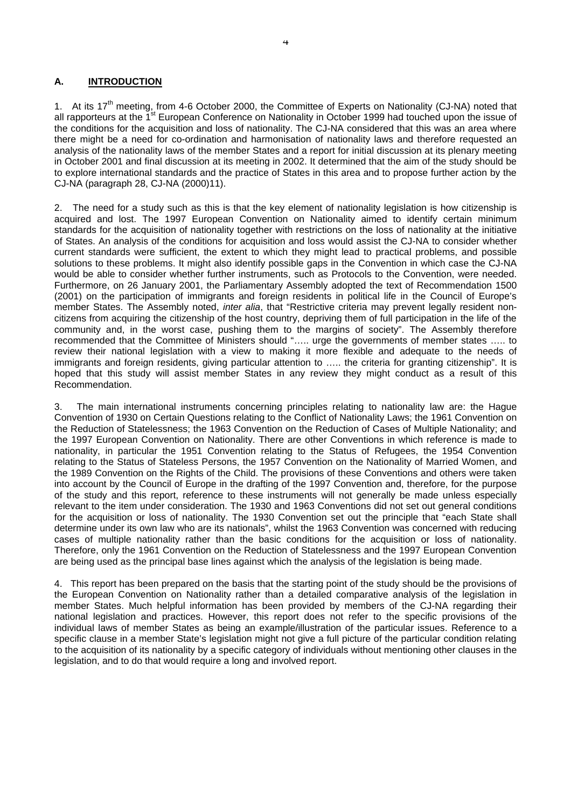# **A. INTRODUCTION**

1. At its 17<sup>th</sup> meeting, from 4-6 October 2000, the Committee of Experts on Nationality (CJ-NA) noted that all rapporteurs at the 1<sup>st</sup> European Conference on Nationality in October 1999 had touched upon the issue of the conditions for the acquisition and loss of nationality. The CJ-NA considered that this was an area where there might be a need for co-ordination and harmonisation of nationality laws and therefore requested an analysis of the nationality laws of the member States and a report for initial discussion at its plenary meeting in October 2001 and final discussion at its meeting in 2002. It determined that the aim of the study should be to explore international standards and the practice of States in this area and to propose further action by the CJ-NA (paragraph 28, CJ-NA (2000)11).

2. The need for a study such as this is that the key element of nationality legislation is how citizenship is acquired and lost. The 1997 European Convention on Nationality aimed to identify certain minimum standards for the acquisition of nationality together with restrictions on the loss of nationality at the initiative of States. An analysis of the conditions for acquisition and loss would assist the CJ-NA to consider whether current standards were sufficient, the extent to which they might lead to practical problems, and possible solutions to these problems. It might also identify possible gaps in the Convention in which case the CJ-NA would be able to consider whether further instruments, such as Protocols to the Convention, were needed. Furthermore, on 26 January 2001, the Parliamentary Assembly adopted the text of Recommendation 1500 (2001) on the participation of immigrants and foreign residents in political life in the Council of Europe's member States. The Assembly noted, *inter alia*, that "Restrictive criteria may prevent legally resident noncitizens from acquiring the citizenship of the host country, depriving them of full participation in the life of the community and, in the worst case, pushing them to the margins of society". The Assembly therefore recommended that the Committee of Ministers should "….. urge the governments of member states ….. to review their national legislation with a view to making it more flexible and adequate to the needs of immigrants and foreign residents, giving particular attention to ….. the criteria for granting citizenship". It is hoped that this study will assist member States in any review they might conduct as a result of this Recommendation.

3. The main international instruments concerning principles relating to nationality law are: the Hague Convention of 1930 on Certain Questions relating to the Conflict of Nationality Laws; the 1961 Convention on the Reduction of Statelessness; the 1963 Convention on the Reduction of Cases of Multiple Nationality; and the 1997 European Convention on Nationality. There are other Conventions in which reference is made to nationality, in particular the 1951 Convention relating to the Status of Refugees, the 1954 Convention relating to the Status of Stateless Persons, the 1957 Convention on the Nationality of Married Women, and the 1989 Convention on the Rights of the Child. The provisions of these Conventions and others were taken into account by the Council of Europe in the drafting of the 1997 Convention and, therefore, for the purpose of the study and this report, reference to these instruments will not generally be made unless especially relevant to the item under consideration. The 1930 and 1963 Conventions did not set out general conditions for the acquisition or loss of nationality. The 1930 Convention set out the principle that "each State shall determine under its own law who are its nationals", whilst the 1963 Convention was concerned with reducing cases of multiple nationality rather than the basic conditions for the acquisition or loss of nationality. Therefore, only the 1961 Convention on the Reduction of Statelessness and the 1997 European Convention are being used as the principal base lines against which the analysis of the legislation is being made.

4. This report has been prepared on the basis that the starting point of the study should be the provisions of the European Convention on Nationality rather than a detailed comparative analysis of the legislation in member States. Much helpful information has been provided by members of the CJ-NA regarding their national legislation and practices. However, this report does not refer to the specific provisions of the individual laws of member States as being an example/illustration of the particular issues. Reference to a specific clause in a member State's legislation might not give a full picture of the particular condition relating to the acquisition of its nationality by a specific category of individuals without mentioning other clauses in the legislation, and to do that would require a long and involved report.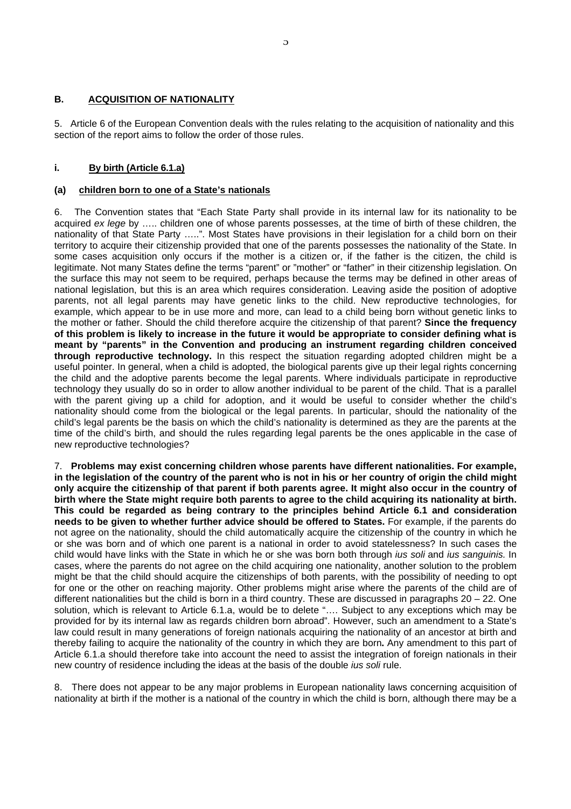# **B. ACQUISITION OF NATIONALITY**

5. Article 6 of the European Convention deals with the rules relating to the acquisition of nationality and this section of the report aims to follow the order of those rules.

# **i. By birth (Article 6.1.a)**

# **(a) children born to one of a State's nationals**

6. The Convention states that "Each State Party shall provide in its internal law for its nationality to be acquired *ex lege* by ….. children one of whose parents possesses, at the time of birth of these children, the nationality of that State Party …..". Most States have provisions in their legislation for a child born on their territory to acquire their citizenship provided that one of the parents possesses the nationality of the State. In some cases acquisition only occurs if the mother is a citizen or, if the father is the citizen, the child is legitimate. Not many States define the terms "parent" or "mother" or "father" in their citizenship legislation. On the surface this may not seem to be required, perhaps because the terms may be defined in other areas of national legislation, but this is an area which requires consideration. Leaving aside the position of adoptive parents, not all legal parents may have genetic links to the child. New reproductive technologies, for example, which appear to be in use more and more, can lead to a child being born without genetic links to the mother or father. Should the child therefore acquire the citizenship of that parent? **Since the frequency of this problem is likely to increase in the future it would be appropriate to consider defining what is meant by "parents" in the Convention and producing an instrument regarding children conceived through reproductive technology.** In this respect the situation regarding adopted children might be a useful pointer. In general, when a child is adopted, the biological parents give up their legal rights concerning the child and the adoptive parents become the legal parents. Where individuals participate in reproductive technology they usually do so in order to allow another individual to be parent of the child. That is a parallel with the parent giving up a child for adoption, and it would be useful to consider whether the child's nationality should come from the biological or the legal parents. In particular, should the nationality of the child's legal parents be the basis on which the child's nationality is determined as they are the parents at the time of the child's birth, and should the rules regarding legal parents be the ones applicable in the case of new reproductive technologies?

7. **Problems may exist concerning children whose parents have different nationalities. For example, in the legislation of the country of the parent who is not in his or her country of origin the child might only acquire the citizenship of that parent if both parents agree. It might also occur in the country of birth where the State might require both parents to agree to the child acquiring its nationality at birth. This could be regarded as being contrary to the principles behind Article 6.1 and consideration needs to be given to whether further advice should be offered to States.** For example, if the parents do not agree on the nationality, should the child automatically acquire the citizenship of the country in which he or she was born and of which one parent is a national in order to avoid statelessness? In such cases the child would have links with the State in which he or she was born both through *ius soli* and *ius sanguinis.* In cases, where the parents do not agree on the child acquiring one nationality, another solution to the problem might be that the child should acquire the citizenships of both parents, with the possibility of needing to opt for one or the other on reaching majority. Other problems might arise where the parents of the child are of different nationalities but the child is born in a third country. These are discussed in paragraphs 20 – 22. One solution, which is relevant to Article 6.1.a, would be to delete "…. Subject to any exceptions which may be provided for by its internal law as regards children born abroad". However, such an amendment to a State's law could result in many generations of foreign nationals acquiring the nationality of an ancestor at birth and thereby failing to acquire the nationality of the country in which they are born**.** Any amendment to this part of Article 6.1.a should therefore take into account the need to assist the integration of foreign nationals in their new country of residence including the ideas at the basis of the double *ius soli* rule.

8. There does not appear to be any major problems in European nationality laws concerning acquisition of nationality at birth if the mother is a national of the country in which the child is born, although there may be a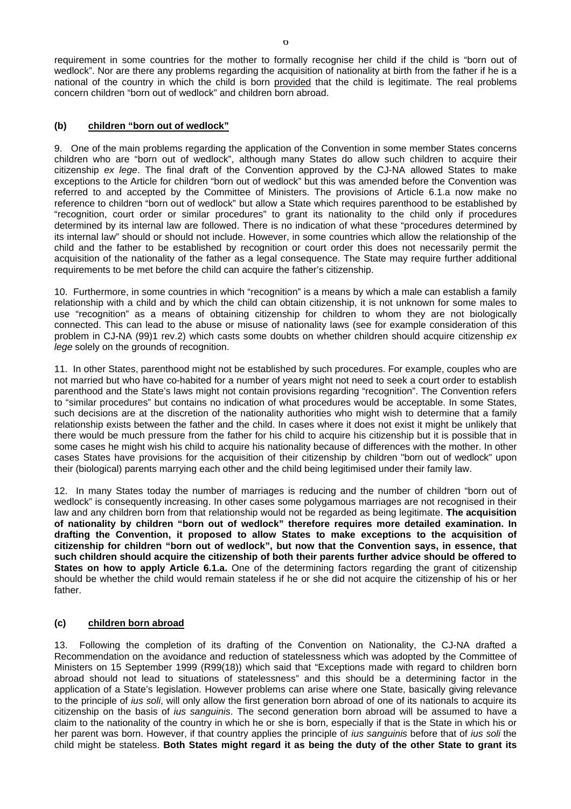requirement in some countries for the mother to formally recognise her child if the child is "born out of wedlock". Nor are there any problems regarding the acquisition of nationality at birth from the father if he is a national of the country in which the child is born provided that the child is legitimate. The real problems concern children "born out of wedlock" and children born abroad.

# **(b) children "born out of wedlock"**

9. One of the main problems regarding the application of the Convention in some member States concerns children who are "born out of wedlock", although many States do allow such children to acquire their citizenship *ex lege*. The final draft of the Convention approved by the CJ-NA allowed States to make exceptions to the Article for children "born out of wedlock" but this was amended before the Convention was referred to and accepted by the Committee of Ministers. The provisions of Article 6.1.a now make no reference to children "born out of wedlock" but allow a State which requires parenthood to be established by "recognition, court order or similar procedures" to grant its nationality to the child only if procedures determined by its internal law are followed. There is no indication of what these "procedures determined by its internal law" should or should not include. However, in some countries which allow the relationship of the child and the father to be established by recognition or court order this does not necessarily permit the acquisition of the nationality of the father as a legal consequence. The State may require further additional requirements to be met before the child can acquire the father's citizenship.

10. Furthermore, in some countries in which "recognition" is a means by which a male can establish a family relationship with a child and by which the child can obtain citizenship, it is not unknown for some males to use "recognition" as a means of obtaining citizenship for children to whom they are not biologically connected. This can lead to the abuse or misuse of nationality laws (see for example consideration of this problem in CJ-NA (99)1 rev.2) which casts some doubts on whether children should acquire citizenship *ex lege* solely on the grounds of recognition.

11. In other States, parenthood might not be established by such procedures. For example, couples who are not married but who have co-habited for a number of years might not need to seek a court order to establish parenthood and the State's laws might not contain provisions regarding "recognition". The Convention refers to "similar procedures" but contains no indication of what procedures would be acceptable. In some States, such decisions are at the discretion of the nationality authorities who might wish to determine that a family relationship exists between the father and the child. In cases where it does not exist it might be unlikely that there would be much pressure from the father for his child to acquire his citizenship but it is possible that in some cases he might wish his child to acquire his nationality because of differences with the mother. In other cases States have provisions for the acquisition of their citizenship by children "born out of wedlock" upon their (biological) parents marrying each other and the child being legitimised under their family law.

12. In many States today the number of marriages is reducing and the number of children "born out of wedlock" is consequently increasing. In other cases some polygamous marriages are not recognised in their law and any children born from that relationship would not be regarded as being legitimate. **The acquisition of nationality by children "born out of wedlock" therefore requires more detailed examination. In drafting the Convention, it proposed to allow States to make exceptions to the acquisition of citizenship for children "born out of wedlock", but now that the Convention says, in essence, that such children should acquire the citizenship of both their parents further advice should be offered to States on how to apply Article 6.1.a.** One of the determining factors regarding the grant of citizenship should be whether the child would remain stateless if he or she did not acquire the citizenship of his or her father.

# **(c) children born abroad**

13. Following the completion of its drafting of the Convention on Nationality, the CJ-NA drafted a Recommendation on the avoidance and reduction of statelessness which was adopted by the Committee of Ministers on 15 September 1999 (R99(18)) which said that "Exceptions made with regard to children born abroad should not lead to situations of statelessness" and this should be a determining factor in the application of a State's legislation. However problems can arise where one State, basically giving relevance to the principle of *ius soli*, will only allow the first generation born abroad of one of its nationals to acquire its citizenship on the basis of *ius sanguinis*. The second generation born abroad will be assumed to have a claim to the nationality of the country in which he or she is born, especially if that is the State in which his or her parent was born. However, if that country applies the principle of *ius sanguinis* before that of *ius soli* the child might be stateless. **Both States might regard it as being the duty of the other State to grant its**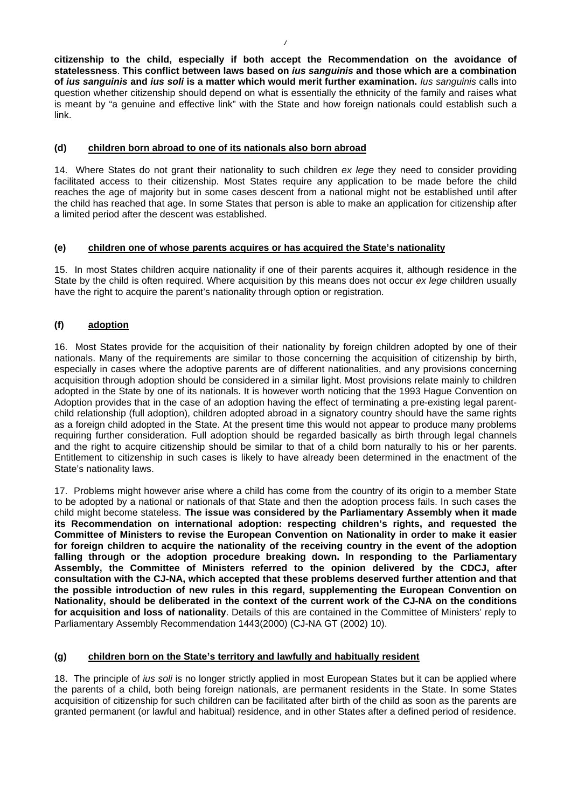**citizenship to the child, especially if both accept the Recommendation on the avoidance of statelessness**. **This conflict between laws based on** *ius sanguinis* **and those which are a combination of** *ius sanguinis* **and** *ius soli* **is a matter which would merit further examination.** *Ius sanguinis* calls into question whether citizenship should depend on what is essentially the ethnicity of the family and raises what is meant by "a genuine and effective link" with the State and how foreign nationals could establish such a link.

# **(d) children born abroad to one of its nationals also born abroad**

14. Where States do not grant their nationality to such children *ex lege* they need to consider providing facilitated access to their citizenship. Most States require any application to be made before the child reaches the age of majority but in some cases descent from a national might not be established until after the child has reached that age. In some States that person is able to make an application for citizenship after a limited period after the descent was established.

# **(e) children one of whose parents acquires or has acquired the State's nationality**

15. In most States children acquire nationality if one of their parents acquires it, although residence in the State by the child is often required. Where acquisition by this means does not occur *ex lege* children usually have the right to acquire the parent's nationality through option or registration.

# **(f) adoption**

16. Most States provide for the acquisition of their nationality by foreign children adopted by one of their nationals. Many of the requirements are similar to those concerning the acquisition of citizenship by birth, especially in cases where the adoptive parents are of different nationalities, and any provisions concerning acquisition through adoption should be considered in a similar light. Most provisions relate mainly to children adopted in the State by one of its nationals. It is however worth noticing that the 1993 Hague Convention on Adoption provides that in the case of an adoption having the effect of terminating a pre-existing legal parentchild relationship (full adoption), children adopted abroad in a signatory country should have the same rights as a foreign child adopted in the State. At the present time this would not appear to produce many problems requiring further consideration. Full adoption should be regarded basically as birth through legal channels and the right to acquire citizenship should be similar to that of a child born naturally to his or her parents. Entitlement to citizenship in such cases is likely to have already been determined in the enactment of the State's nationality laws.

17. Problems might however arise where a child has come from the country of its origin to a member State to be adopted by a national or nationals of that State and then the adoption process fails. In such cases the child might become stateless. **The issue was considered by the Parliamentary Assembly when it made its Recommendation on international adoption: respecting children's rights, and requested the Committee of Ministers to revise the European Convention on Nationality in order to make it easier for foreign children to acquire the nationality of the receiving country in the event of the adoption falling through or the adoption procedure breaking down. In responding to the Parliamentary Assembly, the Committee of Ministers referred to the opinion delivered by the CDCJ, after consultation with the CJ-NA, which accepted that these problems deserved further attention and that the possible introduction of new rules in this regard, supplementing the European Convention on Nationality, should be deliberated in the context of the current work of the CJ-NA on the conditions for acquisition and loss of nationality**. Details of this are contained in the Committee of Ministers' reply to Parliamentary Assembly Recommendation 1443(2000) (CJ-NA GT (2002) 10).

# **(g) children born on the State's territory and lawfully and habitually resident**

18. The principle of *ius soli* is no longer strictly applied in most European States but it can be applied where the parents of a child, both being foreign nationals, are permanent residents in the State. In some States acquisition of citizenship for such children can be facilitated after birth of the child as soon as the parents are granted permanent (or lawful and habitual) residence, and in other States after a defined period of residence.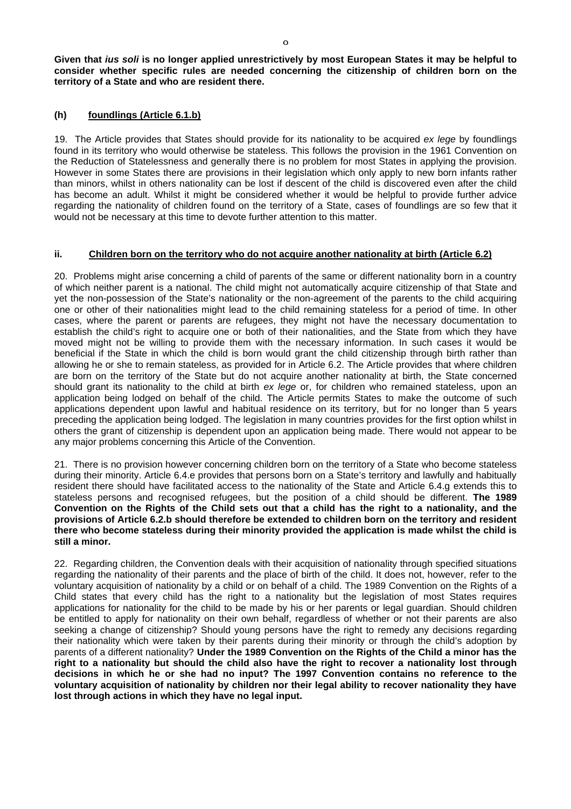**Given that** *ius soli* **is no longer applied unrestrictively by most European States it may be helpful to consider whether specific rules are needed concerning the citizenship of children born on the territory of a State and who are resident there.**

#### **(h) foundlings (Article 6.1.b)**

19. The Article provides that States should provide for its nationality to be acquired *ex lege* by foundlings found in its territory who would otherwise be stateless. This follows the provision in the 1961 Convention on the Reduction of Statelessness and generally there is no problem for most States in applying the provision. However in some States there are provisions in their legislation which only apply to new born infants rather than minors, whilst in others nationality can be lost if descent of the child is discovered even after the child has become an adult. Whilst it might be considered whether it would be helpful to provide further advice regarding the nationality of children found on the territory of a State, cases of foundlings are so few that it would not be necessary at this time to devote further attention to this matter.

#### **ii. Children born on the territory who do not acquire another nationality at birth (Article 6.2)**

20. Problems might arise concerning a child of parents of the same or different nationality born in a country of which neither parent is a national. The child might not automatically acquire citizenship of that State and yet the non-possession of the State's nationality or the non-agreement of the parents to the child acquiring one or other of their nationalities might lead to the child remaining stateless for a period of time. In other cases, where the parent or parents are refugees, they might not have the necessary documentation to establish the child's right to acquire one or both of their nationalities, and the State from which they have moved might not be willing to provide them with the necessary information. In such cases it would be beneficial if the State in which the child is born would grant the child citizenship through birth rather than allowing he or she to remain stateless, as provided for in Article 6.2. The Article provides that where children are born on the territory of the State but do not acquire another nationality at birth, the State concerned should grant its nationality to the child at birth *ex lege* or, for children who remained stateless, upon an application being lodged on behalf of the child. The Article permits States to make the outcome of such applications dependent upon lawful and habitual residence on its territory, but for no longer than 5 years preceding the application being lodged. The legislation in many countries provides for the first option whilst in others the grant of citizenship is dependent upon an application being made. There would not appear to be any major problems concerning this Article of the Convention.

21. There is no provision however concerning children born on the territory of a State who become stateless during their minority. Article 6.4.e provides that persons born on a State's territory and lawfully and habitually resident there should have facilitated access to the nationality of the State and Article 6.4.g extends this to stateless persons and recognised refugees, but the position of a child should be different. **The 1989 Convention on the Rights of the Child sets out that a child has the right to a nationality, and the provisions of Article 6.2.b should therefore be extended to children born on the territory and resident there who become stateless during their minority provided the application is made whilst the child is still a minor.**

22. Regarding children, the Convention deals with their acquisition of nationality through specified situations regarding the nationality of their parents and the place of birth of the child. It does not, however, refer to the voluntary acquisition of nationality by a child or on behalf of a child. The 1989 Convention on the Rights of a Child states that every child has the right to a nationality but the legislation of most States requires applications for nationality for the child to be made by his or her parents or legal guardian. Should children be entitled to apply for nationality on their own behalf, regardless of whether or not their parents are also seeking a change of citizenship? Should young persons have the right to remedy any decisions regarding their nationality which were taken by their parents during their minority or through the child's adoption by parents of a different nationality? **Under the 1989 Convention on the Rights of the Child a minor has the right to a nationality but should the child also have the right to recover a nationality lost through decisions in which he or she had no input? The 1997 Convention contains no reference to the voluntary acquisition of nationality by children nor their legal ability to recover nationality they have lost through actions in which they have no legal input.**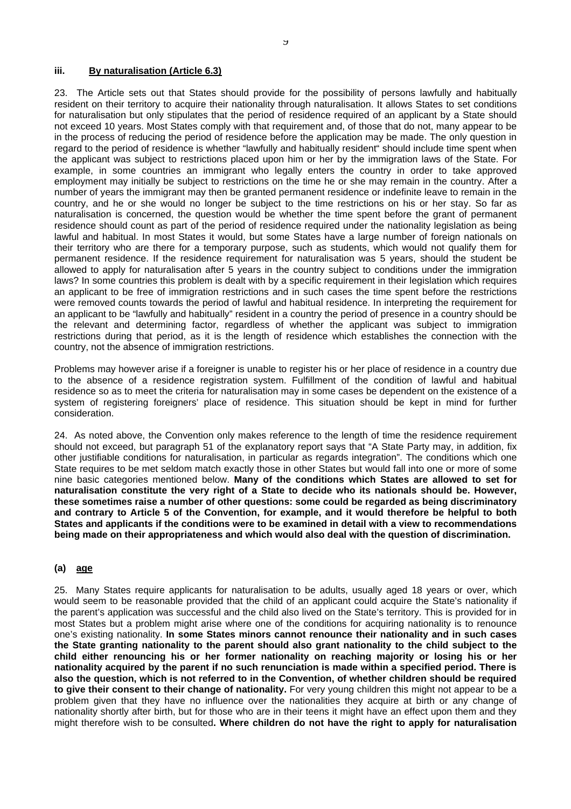#### **iii. By naturalisation (Article 6.3)**

23. The Article sets out that States should provide for the possibility of persons lawfully and habitually resident on their territory to acquire their nationality through naturalisation. It allows States to set conditions for naturalisation but only stipulates that the period of residence required of an applicant by a State should not exceed 10 years. Most States comply with that requirement and, of those that do not, many appear to be in the process of reducing the period of residence before the application may be made. The only question in regard to the period of residence is whether "lawfully and habitually resident" should include time spent when the applicant was subject to restrictions placed upon him or her by the immigration laws of the State. For example, in some countries an immigrant who legally enters the country in order to take approved employment may initially be subject to restrictions on the time he or she may remain in the country. After a number of years the immigrant may then be granted permanent residence or indefinite leave to remain in the country, and he or she would no longer be subject to the time restrictions on his or her stay. So far as naturalisation is concerned, the question would be whether the time spent before the grant of permanent residence should count as part of the period of residence required under the nationality legislation as being lawful and habitual. In most States it would, but some States have a large number of foreign nationals on their territory who are there for a temporary purpose, such as students, which would not qualify them for permanent residence. If the residence requirement for naturalisation was 5 years, should the student be allowed to apply for naturalisation after 5 years in the country subject to conditions under the immigration laws? In some countries this problem is dealt with by a specific requirement in their legislation which requires an applicant to be free of immigration restrictions and in such cases the time spent before the restrictions were removed counts towards the period of lawful and habitual residence. In interpreting the requirement for an applicant to be "lawfully and habitually" resident in a country the period of presence in a country should be the relevant and determining factor, regardless of whether the applicant was subject to immigration restrictions during that period, as it is the length of residence which establishes the connection with the country, not the absence of immigration restrictions.

Problems may however arise if a foreigner is unable to register his or her place of residence in a country due to the absence of a residence registration system. Fulfillment of the condition of lawful and habitual residence so as to meet the criteria for naturalisation may in some cases be dependent on the existence of a system of registering foreigners' place of residence. This situation should be kept in mind for further consideration.

24. As noted above, the Convention only makes reference to the length of time the residence requirement should not exceed, but paragraph 51 of the explanatory report says that "A State Party may, in addition, fix other justifiable conditions for naturalisation, in particular as regards integration". The conditions which one State requires to be met seldom match exactly those in other States but would fall into one or more of some nine basic categories mentioned below. **Many of the conditions which States are allowed to set for naturalisation constitute the very right of a State to decide who its nationals should be. However, these sometimes raise a number of other questions: some could be regarded as being discriminatory and contrary to Article 5 of the Convention, for example, and it would therefore be helpful to both States and applicants if the conditions were to be examined in detail with a view to recommendations being made on their appropriateness and which would also deal with the question of discrimination.**

#### **(a) age**

25. Many States require applicants for naturalisation to be adults, usually aged 18 years or over, which would seem to be reasonable provided that the child of an applicant could acquire the State's nationality if the parent's application was successful and the child also lived on the State's territory. This is provided for in most States but a problem might arise where one of the conditions for acquiring nationality is to renounce one's existing nationality. **In some States minors cannot renounce their nationality and in such cases the State granting nationality to the parent should also grant nationality to the child subject to the child either renouncing his or her former nationality on reaching majority or losing his or her nationality acquired by the parent if no such renunciation is made within a specified period. There is also the question, which is not referred to in the Convention, of whether children should be required to give their consent to their change of nationality.** For very young children this might not appear to be a problem given that they have no influence over the nationalities they acquire at birth or any change of nationality shortly after birth, but for those who are in their teens it might have an effect upon them and they might therefore wish to be consulted**. Where children do not have the right to apply for naturalisation**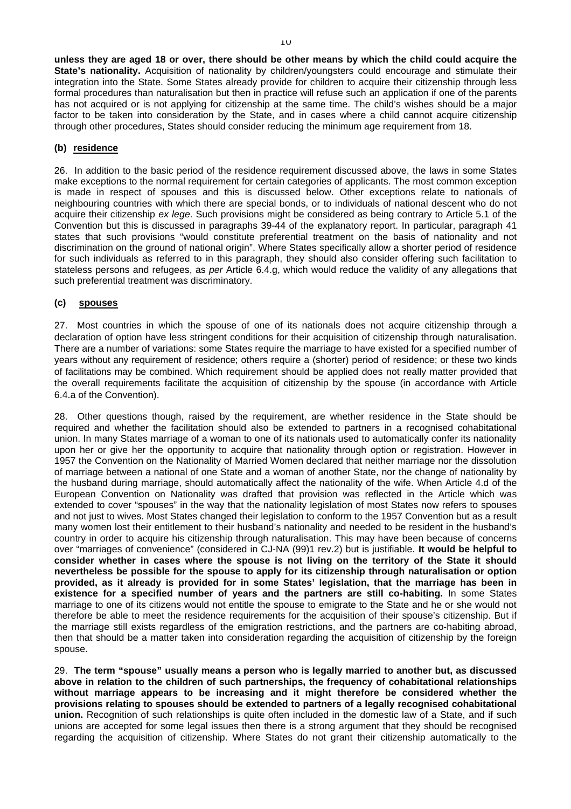**unless they are aged 18 or over, there should be other means by which the child could acquire the State's nationality.** Acquisition of nationality by children/youngsters could encourage and stimulate their integration into the State. Some States already provide for children to acquire their citizenship through less formal procedures than naturalisation but then in practice will refuse such an application if one of the parents has not acquired or is not applying for citizenship at the same time. The child's wishes should be a major factor to be taken into consideration by the State, and in cases where a child cannot acquire citizenship through other procedures, States should consider reducing the minimum age requirement from 18.

# **(b) residence**

26. In addition to the basic period of the residence requirement discussed above, the laws in some States make exceptions to the normal requirement for certain categories of applicants. The most common exception is made in respect of spouses and this is discussed below. Other exceptions relate to nationals of neighbouring countries with which there are special bonds, or to individuals of national descent who do not acquire their citizenship *ex lege*. Such provisions might be considered as being contrary to Article 5.1 of the Convention but this is discussed in paragraphs 39-44 of the explanatory report. In particular, paragraph 41 states that such provisions "would constitute preferential treatment on the basis of nationality and not discrimination on the ground of national origin". Where States specifically allow a shorter period of residence for such individuals as referred to in this paragraph, they should also consider offering such facilitation to stateless persons and refugees, as *per* Article 6.4.g, which would reduce the validity of any allegations that such preferential treatment was discriminatory.

#### **(c) spouses**

27. Most countries in which the spouse of one of its nationals does not acquire citizenship through a declaration of option have less stringent conditions for their acquisition of citizenship through naturalisation. There are a number of variations: some States require the marriage to have existed for a specified number of years without any requirement of residence; others require a (shorter) period of residence; or these two kinds of facilitations may be combined. Which requirement should be applied does not really matter provided that the overall requirements facilitate the acquisition of citizenship by the spouse (in accordance with Article 6.4.a of the Convention).

28. Other questions though, raised by the requirement, are whether residence in the State should be required and whether the facilitation should also be extended to partners in a recognised cohabitational union. In many States marriage of a woman to one of its nationals used to automatically confer its nationality upon her or give her the opportunity to acquire that nationality through option or registration. However in 1957 the Convention on the Nationality of Married Women declared that neither marriage nor the dissolution of marriage between a national of one State and a woman of another State, nor the change of nationality by the husband during marriage, should automatically affect the nationality of the wife. When Article 4.d of the European Convention on Nationality was drafted that provision was reflected in the Article which was extended to cover "spouses" in the way that the nationality legislation of most States now refers to spouses and not just to wives. Most States changed their legislation to conform to the 1957 Convention but as a result many women lost their entitlement to their husband's nationality and needed to be resident in the husband's country in order to acquire his citizenship through naturalisation. This may have been because of concerns over "marriages of convenience" (considered in CJ-NA (99)1 rev.2) but is justifiable. **It would be helpful to consider whether in cases where the spouse is not living on the territory of the State it should nevertheless be possible for the spouse to apply for its citizenship through naturalisation or option provided, as it already is provided for in some States' legislation, that the marriage has been in existence for a specified number of years and the partners are still co-habiting.** In some States marriage to one of its citizens would not entitle the spouse to emigrate to the State and he or she would not therefore be able to meet the residence requirements for the acquisition of their spouse's citizenship. But if the marriage still exists regardless of the emigration restrictions, and the partners are co-habiting abroad, then that should be a matter taken into consideration regarding the acquisition of citizenship by the foreign spouse.

29. **The term "spouse" usually means a person who is legally married to another but, as discussed above in relation to the children of such partnerships, the frequency of cohabitational relationships without marriage appears to be increasing and it might therefore be considered whether the provisions relating to spouses should be extended to partners of a legally recognised cohabitational union.** Recognition of such relationships is quite often included in the domestic law of a State, and if such unions are accepted for some legal issues then there is a strong argument that they should be recognised regarding the acquisition of citizenship. Where States do not grant their citizenship automatically to the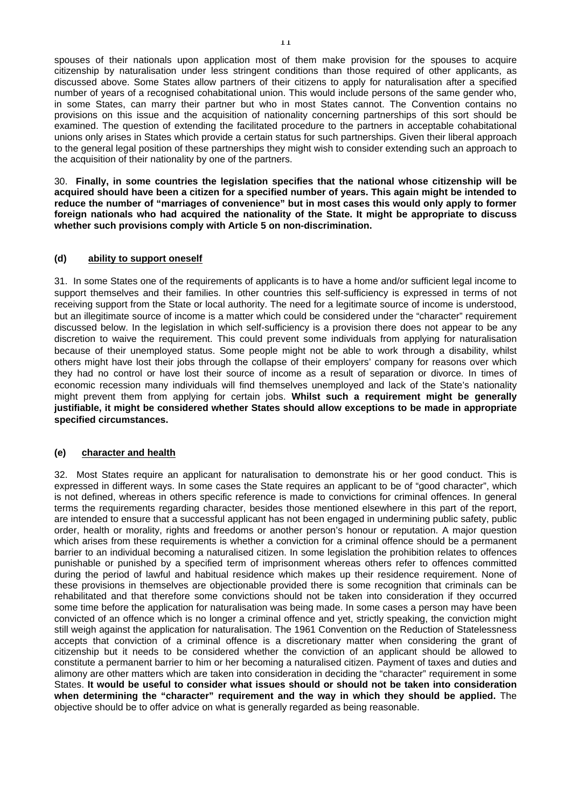spouses of their nationals upon application most of them make provision for the spouses to acquire citizenship by naturalisation under less stringent conditions than those required of other applicants, as discussed above. Some States allow partners of their citizens to apply for naturalisation after a specified number of years of a recognised cohabitational union. This would include persons of the same gender who, in some States, can marry their partner but who in most States cannot. The Convention contains no provisions on this issue and the acquisition of nationality concerning partnerships of this sort should be examined. The question of extending the facilitated procedure to the partners in acceptable cohabitational unions only arises in States which provide a certain status for such partnerships. Given their liberal approach to the general legal position of these partnerships they might wish to consider extending such an approach to the acquisition of their nationality by one of the partners.

30. **Finally, in some countries the legislation specifies that the national whose citizenship will be acquired should have been a citizen for a specified number of years. This again might be intended to reduce the number of "marriages of convenience" but in most cases this would only apply to former foreign nationals who had acquired the nationality of the State. It might be appropriate to discuss whether such provisions comply with Article 5 on non-discrimination.**

# **(d) ability to support oneself**

31. In some States one of the requirements of applicants is to have a home and/or sufficient legal income to support themselves and their families. In other countries this self-sufficiency is expressed in terms of not receiving support from the State or local authority. The need for a legitimate source of income is understood, but an illegitimate source of income is a matter which could be considered under the "character" requirement discussed below. In the legislation in which self-sufficiency is a provision there does not appear to be any discretion to waive the requirement. This could prevent some individuals from applying for naturalisation because of their unemployed status. Some people might not be able to work through a disability, whilst others might have lost their jobs through the collapse of their employers' company for reasons over which they had no control or have lost their source of income as a result of separation or divorce. In times of economic recession many individuals will find themselves unemployed and lack of the State's nationality might prevent them from applying for certain jobs. **Whilst such a requirement might be generally justifiable, it might be considered whether States should allow exceptions to be made in appropriate specified circumstances.**

# **(e) character and health**

32. Most States require an applicant for naturalisation to demonstrate his or her good conduct. This is expressed in different ways. In some cases the State requires an applicant to be of "good character", which is not defined, whereas in others specific reference is made to convictions for criminal offences. In general terms the requirements regarding character, besides those mentioned elsewhere in this part of the report, are intended to ensure that a successful applicant has not been engaged in undermining public safety, public order, health or morality, rights and freedoms or another person's honour or reputation. A major question which arises from these requirements is whether a conviction for a criminal offence should be a permanent barrier to an individual becoming a naturalised citizen. In some legislation the prohibition relates to offences punishable or punished by a specified term of imprisonment whereas others refer to offences committed during the period of lawful and habitual residence which makes up their residence requirement. None of these provisions in themselves are objectionable provided there is some recognition that criminals can be rehabilitated and that therefore some convictions should not be taken into consideration if they occurred some time before the application for naturalisation was being made. In some cases a person may have been convicted of an offence which is no longer a criminal offence and yet, strictly speaking, the conviction might still weigh against the application for naturalisation. The 1961 Convention on the Reduction of Statelessness accepts that conviction of a criminal offence is a discretionary matter when considering the grant of citizenship but it needs to be considered whether the conviction of an applicant should be allowed to constitute a permanent barrier to him or her becoming a naturalised citizen. Payment of taxes and duties and alimony are other matters which are taken into consideration in deciding the "character" requirement in some States. **It would be useful to consider what issues should or should not be taken into consideration when determining the "character" requirement and the way in which they should be applied.** The objective should be to offer advice on what is generally regarded as being reasonable.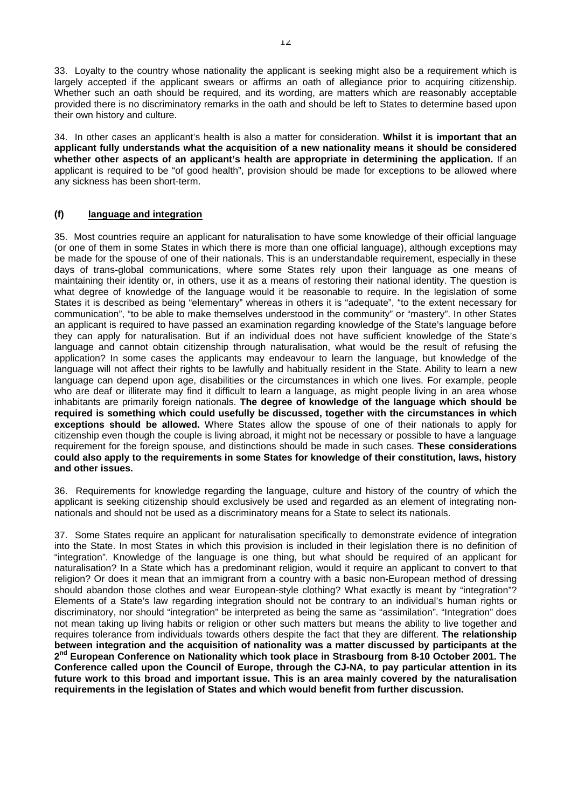33. Loyalty to the country whose nationality the applicant is seeking might also be a requirement which is largely accepted if the applicant swears or affirms an oath of allegiance prior to acquiring citizenship. Whether such an oath should be required, and its wording, are matters which are reasonably acceptable provided there is no discriminatory remarks in the oath and should be left to States to determine based upon their own history and culture.

34. In other cases an applicant's health is also a matter for consideration. **Whilst it is important that an applicant fully understands what the acquisition of a new nationality means it should be considered whether other aspects of an applicant's health are appropriate in determining the application.** If an applicant is required to be "of good health", provision should be made for exceptions to be allowed where any sickness has been short-term.

# **(f) language and integration**

35. Most countries require an applicant for naturalisation to have some knowledge of their official language (or one of them in some States in which there is more than one official language), although exceptions may be made for the spouse of one of their nationals. This is an understandable requirement, especially in these days of trans-global communications, where some States rely upon their language as one means of maintaining their identity or, in others, use it as a means of restoring their national identity. The question is what degree of knowledge of the language would it be reasonable to require. In the legislation of some States it is described as being "elementary" whereas in others it is "adequate", "to the extent necessary for communication", "to be able to make themselves understood in the community" or "mastery". In other States an applicant is required to have passed an examination regarding knowledge of the State's language before they can apply for naturalisation. But if an individual does not have sufficient knowledge of the State's language and cannot obtain citizenship through naturalisation, what would be the result of refusing the application? In some cases the applicants may endeavour to learn the language, but knowledge of the language will not affect their rights to be lawfully and habitually resident in the State. Ability to learn a new language can depend upon age, disabilities or the circumstances in which one lives. For example, people who are deaf or illiterate may find it difficult to learn a language, as might people living in an area whose inhabitants are primarily foreign nationals. **The degree of knowledge of the language which should be required is something which could usefully be discussed, together with the circumstances in which exceptions should be allowed.** Where States allow the spouse of one of their nationals to apply for citizenship even though the couple is living abroad, it might not be necessary or possible to have a language requirement for the foreign spouse, and distinctions should be made in such cases. **These considerations could also apply to the requirements in some States for knowledge of their constitution, laws, history and other issues.**

36. Requirements for knowledge regarding the language, culture and history of the country of which the applicant is seeking citizenship should exclusively be used and regarded as an element of integrating nonnationals and should not be used as a discriminatory means for a State to select its nationals.

37. Some States require an applicant for naturalisation specifically to demonstrate evidence of integration into the State. In most States in which this provision is included in their legislation there is no definition of "integration". Knowledge of the language is one thing, but what should be required of an applicant for naturalisation? In a State which has a predominant religion, would it require an applicant to convert to that religion? Or does it mean that an immigrant from a country with a basic non-European method of dressing should abandon those clothes and wear European-style clothing? What exactly is meant by "integration"? Elements of a State's law regarding integration should not be contrary to an individual's human rights or discriminatory, nor should "integration" be interpreted as being the same as "assimilation". "Integration" does not mean taking up living habits or religion or other such matters but means the ability to live together and requires tolerance from individuals towards others despite the fact that they are different. **The relationship between integration and the acquisition of nationality was a matter discussed by participants at the** 2<sup>nd</sup> European Conference on Nationality which took place in Strasbourg from 8-10 October 2001. The **Conference called upon the Council of Europe, through the CJ-NA, to pay particular attention in its future work to this broad and important issue. This is an area mainly covered by the naturalisation requirements in the legislation of States and which would benefit from further discussion.**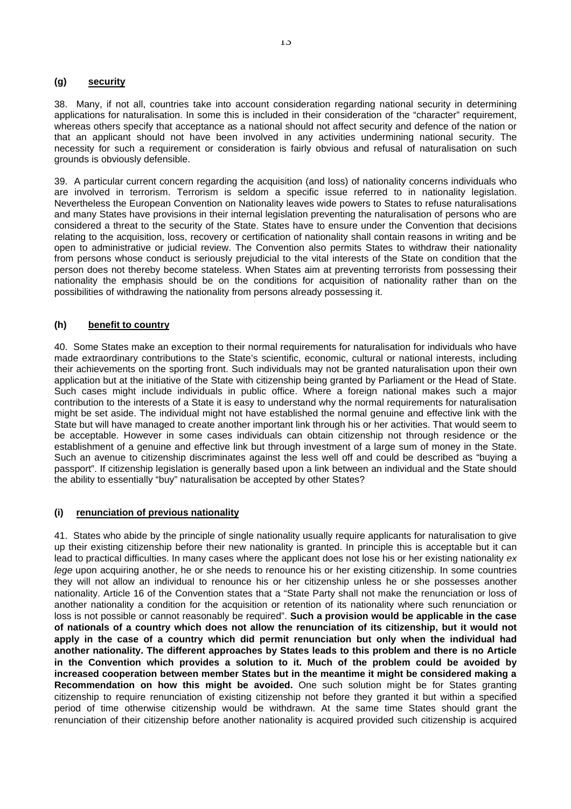#### **(g) security**

38. Many, if not all, countries take into account consideration regarding national security in determining applications for naturalisation. In some this is included in their consideration of the "character" requirement, whereas others specify that acceptance as a national should not affect security and defence of the nation or that an applicant should not have been involved in any activities undermining national security. The necessity for such a requirement or consideration is fairly obvious and refusal of naturalisation on such grounds is obviously defensible.

39. A particular current concern regarding the acquisition (and loss) of nationality concerns individuals who are involved in terrorism. Terrorism is seldom a specific issue referred to in nationality legislation. Nevertheless the European Convention on Nationality leaves wide powers to States to refuse naturalisations and many States have provisions in their internal legislation preventing the naturalisation of persons who are considered a threat to the security of the State. States have to ensure under the Convention that decisions relating to the acquisition, loss, recovery or certification of nationality shall contain reasons in writing and be open to administrative or judicial review. The Convention also permits States to withdraw their nationality from persons whose conduct is seriously prejudicial to the vital interests of the State on condition that the person does not thereby become stateless. When States aim at preventing terrorists from possessing their nationality the emphasis should be on the conditions for acquisition of nationality rather than on the possibilities of withdrawing the nationality from persons already possessing it.

# **(h) benefit to country**

40. Some States make an exception to their normal requirements for naturalisation for individuals who have made extraordinary contributions to the State's scientific, economic, cultural or national interests, including their achievements on the sporting front. Such individuals may not be granted naturalisation upon their own application but at the initiative of the State with citizenship being granted by Parliament or the Head of State. Such cases might include individuals in public office. Where a foreign national makes such a major contribution to the interests of a State it is easy to understand why the normal requirements for naturalisation might be set aside. The individual might not have established the normal genuine and effective link with the State but will have managed to create another important link through his or her activities. That would seem to be acceptable. However in some cases individuals can obtain citizenship not through residence or the establishment of a genuine and effective link but through investment of a large sum of money in the State. Such an avenue to citizenship discriminates against the less well off and could be described as "buying a passport". If citizenship legislation is generally based upon a link between an individual and the State should the ability to essentially "buy" naturalisation be accepted by other States?

# **(i) renunciation of previous nationality**

41. States who abide by the principle of single nationality usually require applicants for naturalisation to give up their existing citizenship before their new nationality is granted. In principle this is acceptable but it can lead to practical difficulties. In many cases where the applicant does not lose his or her existing nationality *ex lege* upon acquiring another, he or she needs to renounce his or her existing citizenship. In some countries they will not allow an individual to renounce his or her citizenship unless he or she possesses another nationality. Article 16 of the Convention states that a "State Party shall not make the renunciation or loss of another nationality a condition for the acquisition or retention of its nationality where such renunciation or loss is not possible or cannot reasonably be required". **Such a provision would be applicable in the case of nationals of a country which does not allow the renunciation of its citizenship, but it would not apply in the case of a country which did permit renunciation but only when the individual had another nationality. The different approaches by States leads to this problem and there is no Article in the Convention which provides a solution to it. Much of the problem could be avoided by increased cooperation between member States but in the meantime it might be considered making a Recommendation on how this might be avoided.** One such solution might be for States granting citizenship to require renunciation of existing citizenship not before they granted it but within a specified period of time otherwise citizenship would be withdrawn. At the same time States should grant the renunciation of their citizenship before another nationality is acquired provided such citizenship is acquired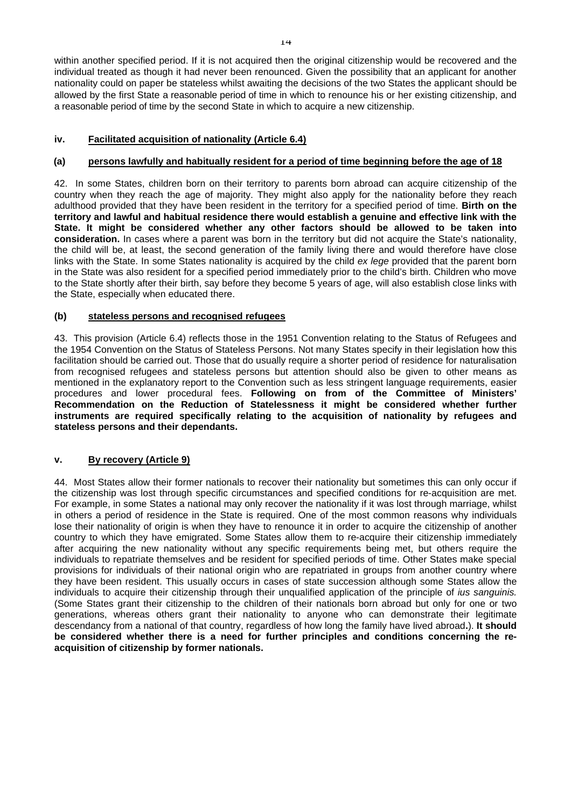within another specified period. If it is not acquired then the original citizenship would be recovered and the individual treated as though it had never been renounced. Given the possibility that an applicant for another nationality could on paper be stateless whilst awaiting the decisions of the two States the applicant should be allowed by the first State a reasonable period of time in which to renounce his or her existing citizenship, and a reasonable period of time by the second State in which to acquire a new citizenship.

# **iv. Facilitated acquisition of nationality (Article 6.4)**

# **(a) persons lawfully and habitually resident for a period of time beginning before the age of 18**

42. In some States, children born on their territory to parents born abroad can acquire citizenship of the country when they reach the age of majority. They might also apply for the nationality before they reach adulthood provided that they have been resident in the territory for a specified period of time. **Birth on the territory and lawful and habitual residence there would establish a genuine and effective link with the State. It might be considered whether any other factors should be allowed to be taken into consideration.** In cases where a parent was born in the territory but did not acquire the State's nationality, the child will be, at least, the second generation of the family living there and would therefore have close links with the State. In some States nationality is acquired by the child *ex lege* provided that the parent born in the State was also resident for a specified period immediately prior to the child's birth. Children who move to the State shortly after their birth, say before they become 5 years of age, will also establish close links with the State, especially when educated there.

# **(b) stateless persons and recognised refugees**

43. This provision (Article 6.4) reflects those in the 1951 Convention relating to the Status of Refugees and the 1954 Convention on the Status of Stateless Persons. Not many States specify in their legislation how this facilitation should be carried out. Those that do usually require a shorter period of residence for naturalisation from recognised refugees and stateless persons but attention should also be given to other means as mentioned in the explanatory report to the Convention such as less stringent language requirements, easier procedures and lower procedural fees. **Following on from of the Committee of Ministers' Recommendation on the Reduction of Statelessness it might be considered whether further instruments are required specifically relating to the acquisition of nationality by refugees and stateless persons and their dependants.**

# **v. By recovery (Article 9)**

44. Most States allow their former nationals to recover their nationality but sometimes this can only occur if the citizenship was lost through specific circumstances and specified conditions for re-acquisition are met. For example, in some States a national may only recover the nationality if it was lost through marriage, whilst in others a period of residence in the State is required. One of the most common reasons why individuals lose their nationality of origin is when they have to renounce it in order to acquire the citizenship of another country to which they have emigrated. Some States allow them to re-acquire their citizenship immediately after acquiring the new nationality without any specific requirements being met, but others require the individuals to repatriate themselves and be resident for specified periods of time. Other States make special provisions for individuals of their national origin who are repatriated in groups from another country where they have been resident. This usually occurs in cases of state succession although some States allow the individuals to acquire their citizenship through their unqualified application of the principle of *ius sanguinis.* (Some States grant their citizenship to the children of their nationals born abroad but only for one or two generations, whereas others grant their nationality to anyone who can demonstrate their legitimate descendancy from a national of that country, regardless of how long the family have lived abroad**.**). **It should be considered whether there is a need for further principles and conditions concerning the reacquisition of citizenship by former nationals.**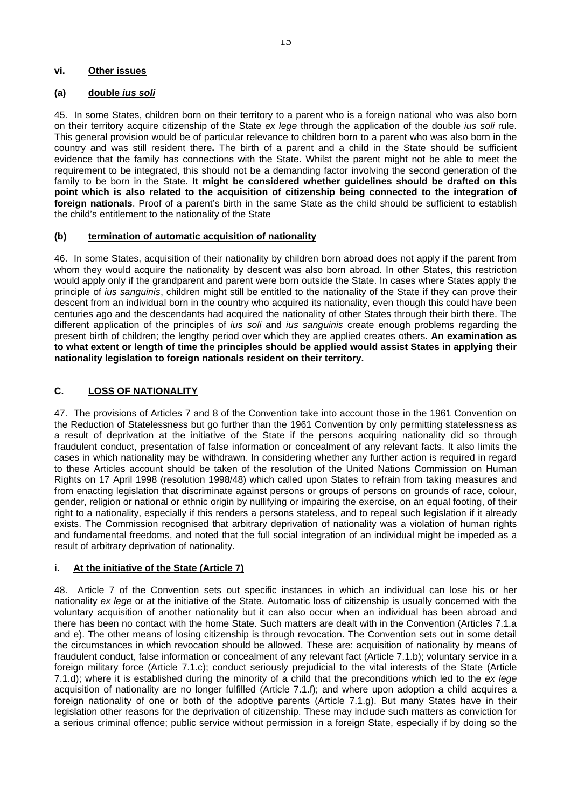#### **vi. Other issues**

#### **(a) double** *ius soli*

45. In some States, children born on their territory to a parent who is a foreign national who was also born on their territory acquire citizenship of the State *ex lege* through the application of the double *ius soli* rule. This general provision would be of particular relevance to children born to a parent who was also born in the country and was still resident there**.** The birth of a parent and a child in the State should be sufficient evidence that the family has connections with the State. Whilst the parent might not be able to meet the requirement to be integrated, this should not be a demanding factor involving the second generation of the family to be born in the State. **It might be considered whether guidelines should be drafted on this point which is also related to the acquisition of citizenship being connected to the integration of foreign nationals**. Proof of a parent's birth in the same State as the child should be sufficient to establish the child's entitlement to the nationality of the State

# **(b) termination of automatic acquisition of nationality**

46. In some States, acquisition of their nationality by children born abroad does not apply if the parent from whom they would acquire the nationality by descent was also born abroad. In other States, this restriction would apply only if the grandparent and parent were born outside the State. In cases where States apply the principle of *ius sanguinis*, children might still be entitled to the nationality of the State if they can prove their descent from an individual born in the country who acquired its nationality, even though this could have been centuries ago and the descendants had acquired the nationality of other States through their birth there. The different application of the principles of *ius soli* and *ius sanguinis* create enough problems regarding the present birth of children; the lengthy period over which they are applied creates others**. An examination as to what extent or length of time the principles should be applied would assist States in applying their nationality legislation to foreign nationals resident on their territory.**

# **C. LOSS OF NATIONALITY**

47. The provisions of Articles 7 and 8 of the Convention take into account those in the 1961 Convention on the Reduction of Statelessness but go further than the 1961 Convention by only permitting statelessness as a result of deprivation at the initiative of the State if the persons acquiring nationality did so through fraudulent conduct, presentation of false information or concealment of any relevant facts. It also limits the cases in which nationality may be withdrawn. In considering whether any further action is required in regard to these Articles account should be taken of the resolution of the United Nations Commission on Human Rights on 17 April 1998 (resolution 1998/48) which called upon States to refrain from taking measures and from enacting legislation that discriminate against persons or groups of persons on grounds of race, colour, gender, religion or national or ethnic origin by nullifying or impairing the exercise, on an equal footing, of their right to a nationality, especially if this renders a persons stateless, and to repeal such legislation if it already exists. The Commission recognised that arbitrary deprivation of nationality was a violation of human rights and fundamental freedoms, and noted that the full social integration of an individual might be impeded as a result of arbitrary deprivation of nationality.

# **i. At the initiative of the State (Article 7)**

48. Article 7 of the Convention sets out specific instances in which an individual can lose his or her nationality *ex lege* or at the initiative of the State. Automatic loss of citizenship is usually concerned with the voluntary acquisition of another nationality but it can also occur when an individual has been abroad and there has been no contact with the home State. Such matters are dealt with in the Convention (Articles 7.1.a and e). The other means of losing citizenship is through revocation. The Convention sets out in some detail the circumstances in which revocation should be allowed. These are: acquisition of nationality by means of fraudulent conduct, false information or concealment of any relevant fact (Article 7.1.b); voluntary service in a foreign military force (Article 7.1.c); conduct seriously prejudicial to the vital interests of the State (Article 7.1.d); where it is established during the minority of a child that the preconditions which led to the *ex lege* acquisition of nationality are no longer fulfilled (Article 7.1.f); and where upon adoption a child acquires a foreign nationality of one or both of the adoptive parents (Article 7.1.g). But many States have in their legislation other reasons for the deprivation of citizenship. These may include such matters as conviction for a serious criminal offence; public service without permission in a foreign State, especially if by doing so the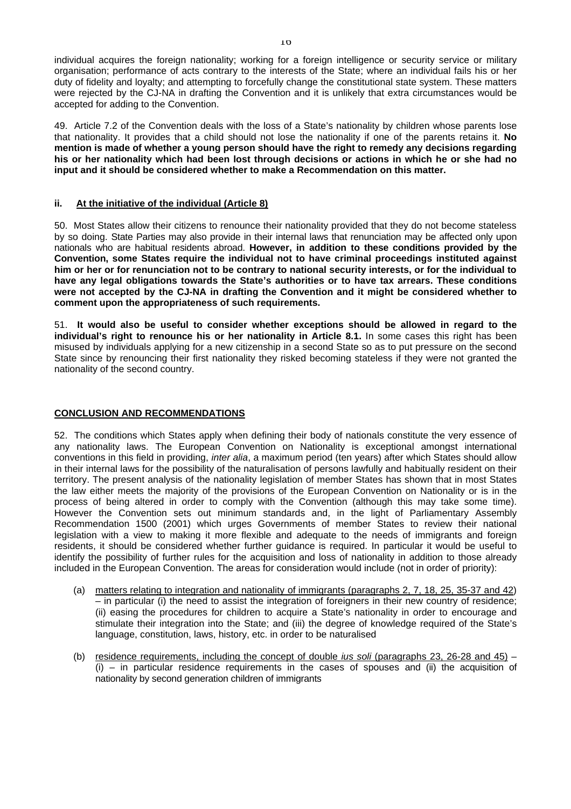individual acquires the foreign nationality; working for a foreign intelligence or security service or military organisation; performance of acts contrary to the interests of the State; where an individual fails his or her duty of fidelity and loyalty; and attempting to forcefully change the constitutional state system. These matters were rejected by the CJ-NA in drafting the Convention and it is unlikely that extra circumstances would be accepted for adding to the Convention.

49. Article 7.2 of the Convention deals with the loss of a State's nationality by children whose parents lose that nationality. It provides that a child should not lose the nationality if one of the parents retains it. **No mention is made of whether a young person should have the right to remedy any decisions regarding his or her nationality which had been lost through decisions or actions in which he or she had no input and it should be considered whether to make a Recommendation on this matter.**

# **ii. At the initiative of the individual (Article 8)**

50. Most States allow their citizens to renounce their nationality provided that they do not become stateless by so doing. State Parties may also provide in their internal laws that renunciation may be affected only upon nationals who are habitual residents abroad. **However, in addition to these conditions provided by the Convention, some States require the individual not to have criminal proceedings instituted against him or her or for renunciation not to be contrary to national security interests, or for the individual to have any legal obligations towards the State's authorities or to have tax arrears. These conditions were not accepted by the CJ-NA in drafting the Convention and it might be considered whether to comment upon the appropriateness of such requirements.**

51. **It would also be useful to consider whether exceptions should be allowed in regard to the individual's right to renounce his or her nationality in Article 8.1.** In some cases this right has been misused by individuals applying for a new citizenship in a second State so as to put pressure on the second State since by renouncing their first nationality they risked becoming stateless if they were not granted the nationality of the second country.

# **CONCLUSION AND RECOMMENDATIONS**

52. The conditions which States apply when defining their body of nationals constitute the very essence of any nationality laws. The European Convention on Nationality is exceptional amongst international conventions in this field in providing, *inter alia*, a maximum period (ten years) after which States should allow in their internal laws for the possibility of the naturalisation of persons lawfully and habitually resident on their territory. The present analysis of the nationality legislation of member States has shown that in most States the law either meets the majority of the provisions of the European Convention on Nationality or is in the process of being altered in order to comply with the Convention (although this may take some time). However the Convention sets out minimum standards and, in the light of Parliamentary Assembly Recommendation 1500 (2001) which urges Governments of member States to review their national legislation with a view to making it more flexible and adequate to the needs of immigrants and foreign residents, it should be considered whether further guidance is required. In particular it would be useful to identify the possibility of further rules for the acquisition and loss of nationality in addition to those already included in the European Convention. The areas for consideration would include (not in order of priority):

- (a) matters relating to integration and nationality of immigrants (paragraphs 2, 7, 18, 25, 35-37 and 42) – in particular (i) the need to assist the integration of foreigners in their new country of residence; (ii) easing the procedures for children to acquire a State's nationality in order to encourage and stimulate their integration into the State; and (iii) the degree of knowledge required of the State's language, constitution, laws, history, etc. in order to be naturalised
- (b) residence requirements, including the concept of double *ius soli* (paragraphs 23, 26-28 and 45)  $(i)$  – in particular residence requirements in the cases of spouses and (ii) the acquisition of nationality by second generation children of immigrants